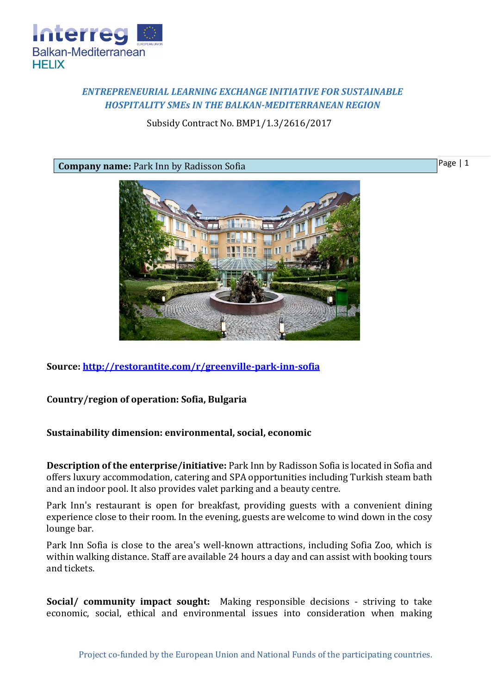

## *ENTREPRENEURIAL LEARNING EXCHANGE INITIATIVE FOR SUSTAINABLE HOSPITALITY SMEs IN THE BALKAN-MEDITERRANEAN REGION*

Subsidy Contract No. BMP1/1.3/2616/2017

**Company name:** Park Inn by Radisson Sofia



**Source:<http://restorantite.com/r/greenville-park-inn-sofia>**

## **Country/region of operation: Sofia, Bulgaria**

## **Sustainability dimension: environmental, social, economic**

**Description of the enterprise/initiative:** Park Inn by Radisson Sofia is located in Sofia and offers luxury accommodation, catering and SPA opportunities including Turkish steam bath and an indoor pool. It also provides valet parking and a beauty centre.

Park Inn's restaurant is open for breakfast, providing guests with a convenient dining experience close to their room. In the evening, guests are welcome to wind down in the cosy lounge bar.

Park Inn Sofia is close to the area's well-known attractions, including Sofia Zoo, which is within walking distance. Staff are available 24 hours a day and can assist with booking tours and tickets.

**Social/ community impact sought:** Making responsible decisions - striving to take economic, social, ethical and environmental issues into consideration when making

Page | 1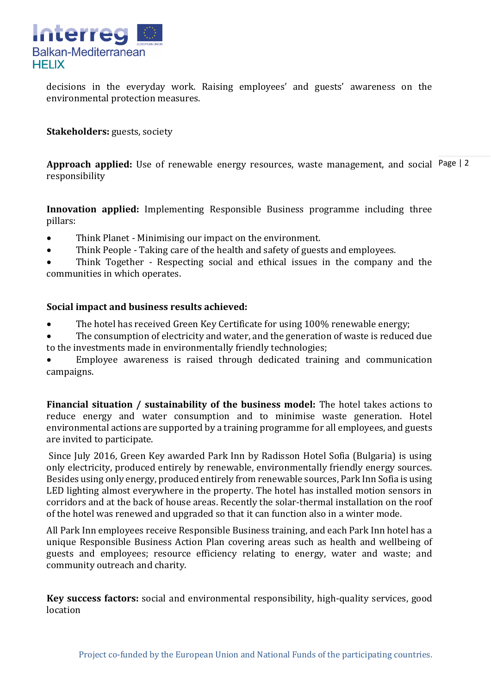

decisions in the everyday work. Raising employees' and guests' awareness on the environmental protection measures.

**Stakeholders:** guests, society

Approach applied: Use of renewable energy resources, waste management, and social Page | 2 responsibility

**Innovation applied:** Implementing Responsible Business programme including three pillars:

- Think Planet Minimising our impact on the environment.
- Think People Taking care of the health and safety of guests and employees.

 Think Together - Respecting social and ethical issues in the company and the communities in which operates.

## **Social impact and business results achieved:**

- The hotel has received Green Key Certificate for using 100% renewable energy;
- The consumption of electricity and water, and the generation of waste is reduced due to the investments made in environmentally friendly technologies;

 Employee awareness is raised through dedicated training and communication campaigns.

**Financial situation / sustainability of the business model:** The hotel takes actions to reduce energy and water consumption and to minimise waste generation. Hotel environmental actions are supported by a training programme for all employees, and guests are invited to participate.

Since July 2016, Green Key awarded Park Inn by Radisson Hotel Sofia (Bulgaria) is using only electricity, produced entirely by renewable, environmentally friendly energy sources. Besides using only energy, produced entirely from renewable sources, Park Inn Sofia is using LED lighting almost everywhere in the property. The hotel has installed motion sensors in corridors and at the back of house areas. Recently the solar-thermal installation on the roof of the hotel was renewed and upgraded so that it can function also in a winter mode.

All Park Inn employees receive Responsible Business training, and each Park Inn hotel has a unique Responsible Business Action Plan covering areas such as health and wellbeing of guests and employees; resource efficiency relating to energy, water and waste; and community outreach and charity.

**Key success factors:** social and environmental responsibility, high-quality services, good location